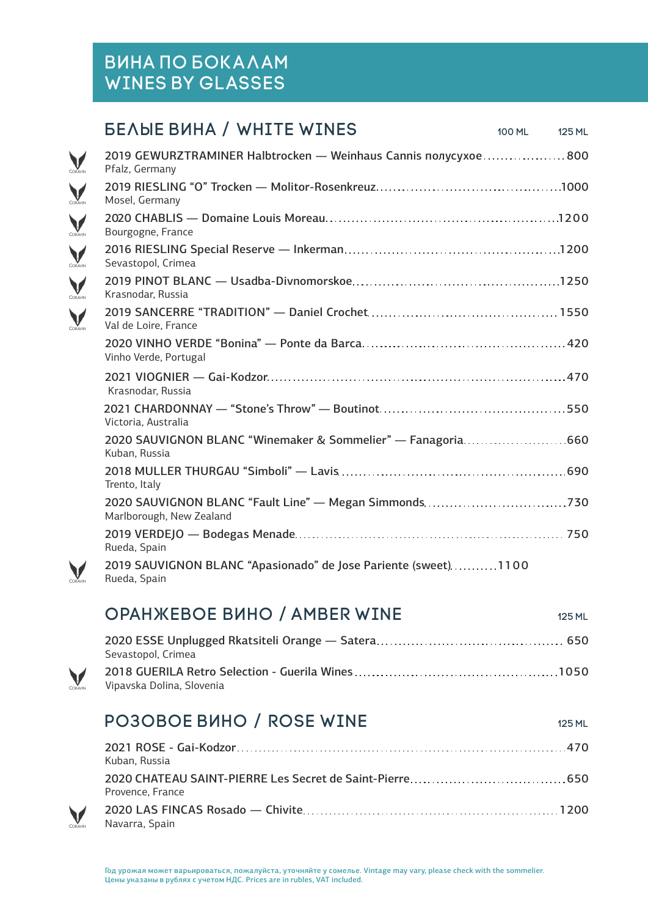# Вина по бокалам Wines by glasses

V

V CORAVIN

### БЕЛЫЕ ВИНА / WHITE WINES 100 ML 125 ML

| 2019 GEWURZTRAMINER Halbtrocken — Weinhaus Cannis nonycyxoe800<br>Pfalz, Germany |
|----------------------------------------------------------------------------------|
| Mosel, Germany                                                                   |
| Bourgogne, France                                                                |
| Sevastopol, Crimea                                                               |
| Krasnodar, Russia                                                                |
| Val de Loire, France                                                             |
| Vinho Verde, Portugal                                                            |
| Krasnodar, Russia                                                                |
| Victoria, Australia                                                              |
| 2020 SAUVIGNON BLANC "Winemaker & Sommelier" - Fanagoria660<br>Kuban, Russia     |
| Trento, Italy                                                                    |
| Marlborough, New Zealand                                                         |
| Rueda, Spain                                                                     |
| 2019 SAUVIGNON BLANC "Apasionado" de Jose Pariente (sweet)1100<br>Rueda, Spain   |
|                                                                                  |

#### **ОРАНЖЕВОЕ ВИНО / AMBER WINE 125 ML 125 ML**

| Sevastopol, Crimea        |
|---------------------------|
| Vipavska Dolina, Slovenia |

# PO3OBOE BUHO / ROSE WINE 125 ML

| Kuban. Russia    |
|------------------|
| Provence. France |
| Navarra, Spain   |

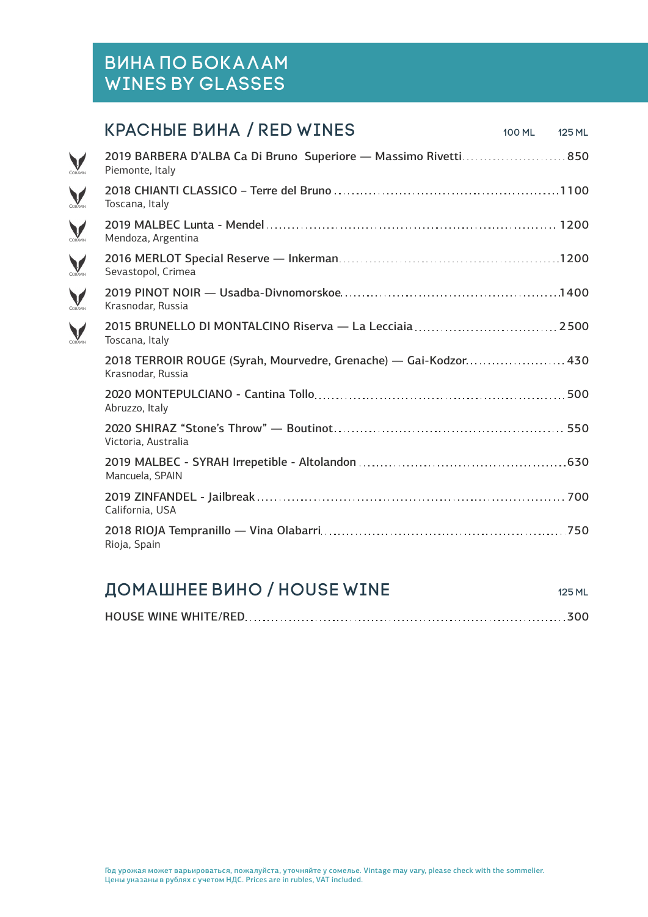## Вина по бокалам Wines by glasses

CORAVIN

CORAVIN

CORAVIN

CORAVIN

CORAVIN

CORAVIN

### **КРАСНЫЕ ВИНА / RED WINES** 100 ML 125 ML

| 2019 BARBERA D'ALBA Ca Di Bruno Superiore — Massimo Rivetti 850<br>Piemonte, Italy    |
|---------------------------------------------------------------------------------------|
| Toscana, Italy                                                                        |
| Mendoza, Argentina                                                                    |
| Sevastopol, Crimea                                                                    |
| Krasnodar, Russia                                                                     |
| Toscana, Italy                                                                        |
| 2018 TERROIR ROUGE (Syrah, Mourvedre, Grenache) — Gai-Kodzor 430<br>Krasnodar, Russia |
| Abruzzo, Italy                                                                        |
| Victoria, Australia                                                                   |
| Mancuela, SPAIN                                                                       |
| California, USA                                                                       |
| Rioja, Spain                                                                          |
|                                                                                       |

# **ДОМАШНЕЕ ВИНО / HOUSE WINE 125 ML 125 ML**

|--|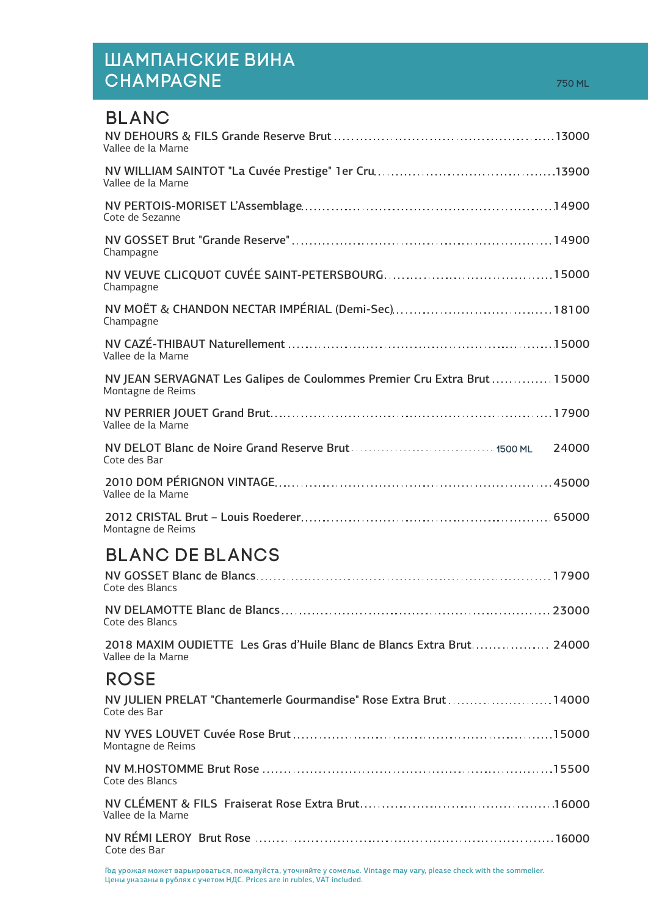## Шампанские вина **CHAMPAGNE**

| <b>BLANC</b>                                                                                  |       |
|-----------------------------------------------------------------------------------------------|-------|
| Vallee de la Marne                                                                            |       |
| Vallee de la Marne                                                                            |       |
| Cote de Sezanne                                                                               |       |
| Champagne                                                                                     |       |
| Champagne                                                                                     |       |
| Champagne                                                                                     |       |
| Vallee de la Marne                                                                            |       |
| NV JEAN SERVAGNAT Les Galipes de Coulommes Premier Cru Extra Brut  15000<br>Montagne de Reims |       |
| Vallee de la Marne                                                                            |       |
| Cote des Bar                                                                                  | 24000 |
| Vallee de la Marne                                                                            |       |
| Montagne de Reims                                                                             |       |
| <b>BLANC DE BLANCS</b>                                                                        |       |
| Cote des Blancs                                                                               |       |
| Cote des Blancs                                                                               |       |
| 2018 MAXIM OUDIETTE Les Gras d'Huile Blanc de Blancs Extra Brut 24000<br>Vallee de la Marne   |       |
| <b>ROSE</b>                                                                                   |       |
| NV JULIEN PRELAT "Chantemerle Gourmandise" Rose Extra Brut  14000<br>Cote des Bar             |       |
| Montagne de Reims                                                                             |       |
| Cote des Blancs                                                                               |       |
| Vallee de la Marne                                                                            |       |
| Cote des Bar                                                                                  |       |

Год урожая может варьироваться, пожалуйста, уточняйте у сомелье. Vintage may vary, please check with the sommelier. Цены указаны в рублях с учетом НДС. Prices are in rubles, VAT included.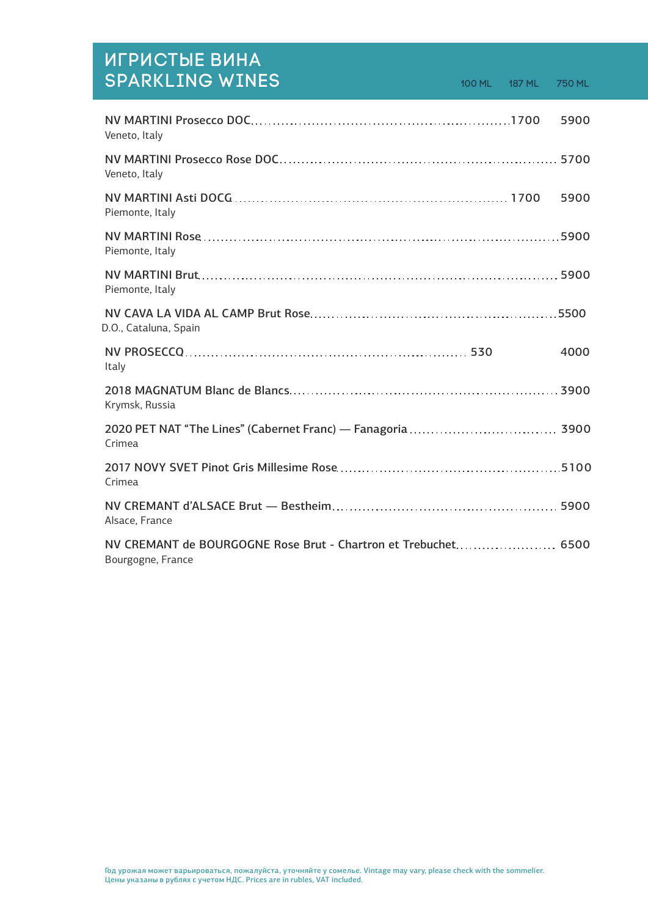| ИГРИСТЫЕ ВИНА<br><b>SPARKLING WINES</b>                                             |  | 750 ML |
|-------------------------------------------------------------------------------------|--|--------|
| Veneto, Italy                                                                       |  | 5900   |
| Veneto, Italy                                                                       |  |        |
| Piemonte, Italy                                                                     |  | 5900   |
| Piemonte, Italy                                                                     |  |        |
| Piemonte, Italy                                                                     |  |        |
| D.O., Cataluna, Spain                                                               |  |        |
| Italy                                                                               |  | 4000   |
| Krymsk, Russia                                                                      |  |        |
| Crimea                                                                              |  |        |
| Crimea                                                                              |  |        |
| Alsace, France                                                                      |  |        |
| NV CREMANT de BOURGOGNE Rose Brut - Chartron et Trebuchet 6500<br>Bourgogne, France |  |        |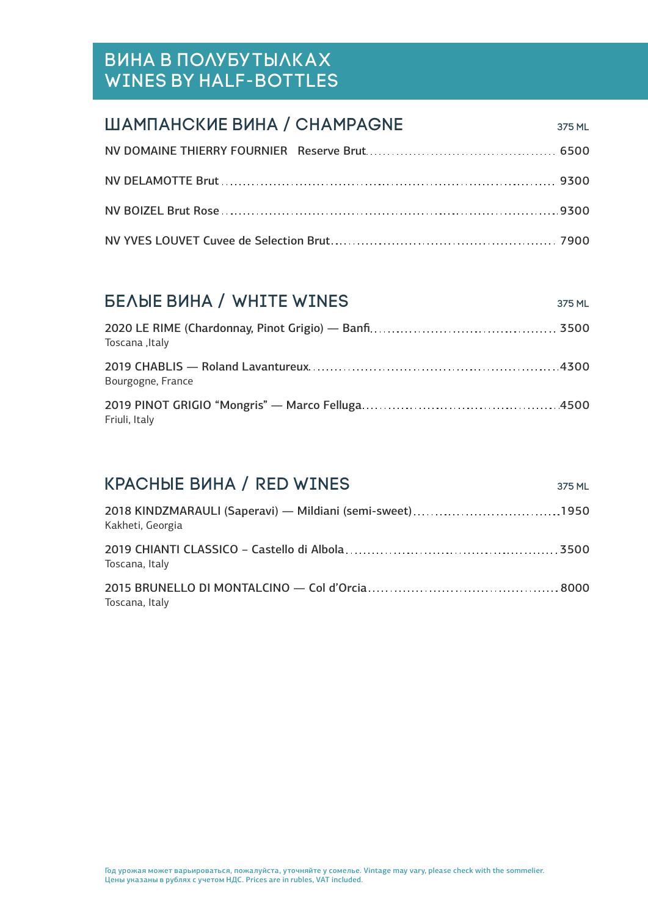# Вина в полубутылках Wines by half-bottles

| ШАМПАНСКИЕ ВИНА / СНАМРАGNE | 375 ML |
|-----------------------------|--------|
|                             |        |
|                             |        |
|                             |        |
|                             |        |

#### **БЕЛЫЕ ВИНА / WHITE WINES** 375 ML

| Toscana , Italy   |  |
|-------------------|--|
| Bourgogne, France |  |
| Friuli, Italy     |  |

#### KPACHЫE ВИНА / RED WINES 375 ML 2018 KINDZMARAULI (Saperavi) — Mildiani (semi-sweet) 1950 Kakheti, Georgia

| Toscana, Italy                          |      |
|-----------------------------------------|------|
| 2015 DDUNELLO DLMONTAL CINO Cal d'Orcia | 0000 |

2015 BRUNELLO DI MONTALCINO — Col d'Orcia **Music Anticalistica e del 8000** Toscana, Italy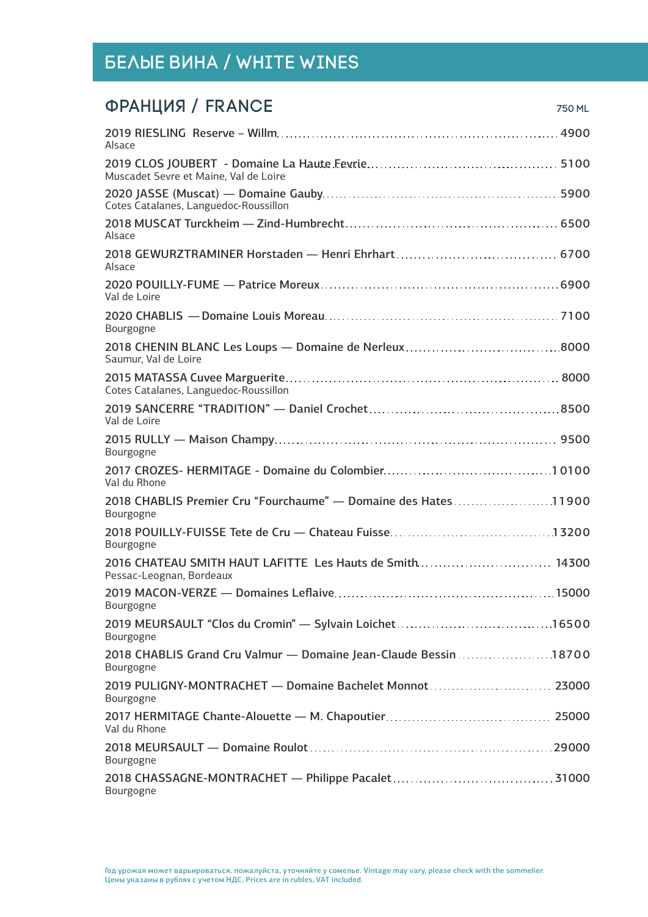# ФРАНЦИЯ / FRANCE 750 ML

| Alsace                                                                               |
|--------------------------------------------------------------------------------------|
| Muscadet Sevre et Maine, Val de Loire                                                |
| Cotes Catalanes, Languedoc-Roussillon                                                |
| Alsace                                                                               |
| Alsace                                                                               |
| Val de Loire                                                                         |
| Bourgogne                                                                            |
| Saumur, Val de Loire                                                                 |
| Cotes Catalanes, Languedoc-Roussillon                                                |
| Val de Loire                                                                         |
| Bourgogne                                                                            |
| Val du Rhone                                                                         |
| 2018 CHABLIS Premier Cru "Fourchaume" - Domaine des Hates11900<br>Bourgogne          |
| Bourgogne                                                                            |
| 2016 CHATEAU SMITH HAUT LAFITTE Les Hauts de Smith 14300<br>Pessac-Leognan, Bordeaux |
| Bourgogne                                                                            |
| Bourgogne                                                                            |
| 2018 CHABLIS Grand Cru Valmur - Domaine Jean-Claude Bessin 18700<br>Bourgogne        |
| 2019 PULIGNY-MONTRACHET - Domaine Bachelet Monnot  23000<br>Bourgogne                |
| Val du Rhone                                                                         |
| Bourgogne                                                                            |
| Bourgogne                                                                            |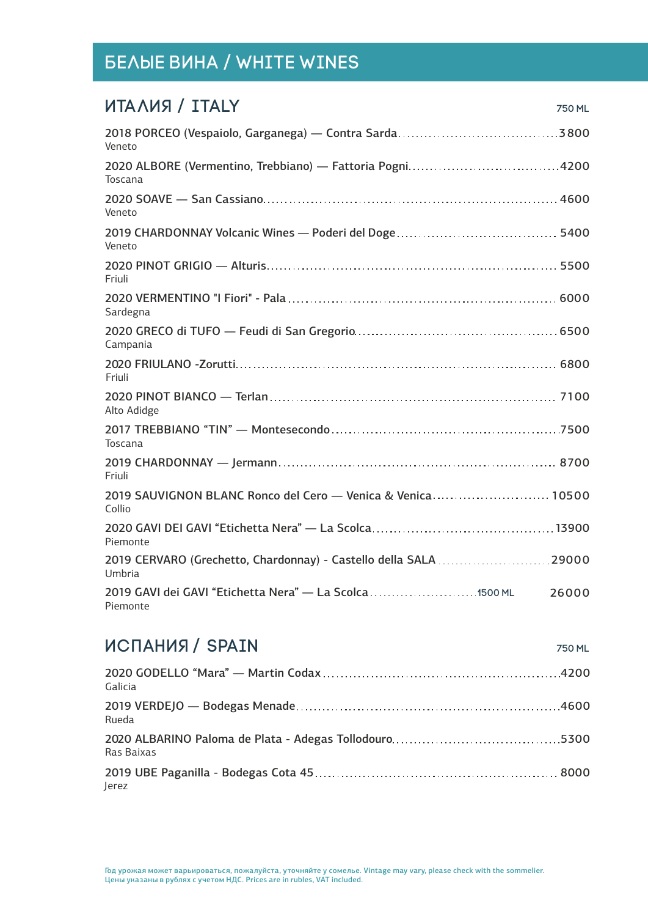| ИТАЛИЯ / ITALY<br>750 ML                                                      |
|-------------------------------------------------------------------------------|
| Veneto                                                                        |
| Toscana                                                                       |
| Veneto                                                                        |
| Veneto                                                                        |
| Friuli                                                                        |
| Sardegna                                                                      |
| Campania                                                                      |
| Friuli                                                                        |
| Alto Adidge                                                                   |
| Toscana                                                                       |
| Friuli                                                                        |
| 2019 SAUVIGNON BLANC Ronco del Cero - Venica & Venica 10500<br>Collio         |
| Piemonte                                                                      |
| 2019 CERVARO (Grechetto, Chardonnay) - Castello della SALA 29000<br>Umbria    |
| 2019 GAVI dei GAVI "Etichetta Nera" - La Scolca  1500 ML<br>26000<br>Piemonte |

#### ИСПАНИЯ / SPAIN 750 ML 2020 GODELLO "Mara" — Martin Codax 4200 Galicia 2019 VERDEJO — Bodegas Menade 4600 Rueda 2020 ALBARINO Paloma de Plata - Adegas Tollodouro 5300 Ras Baixas

2019 UBE Paganilla - Bodegas Cota 45 8000 Jerez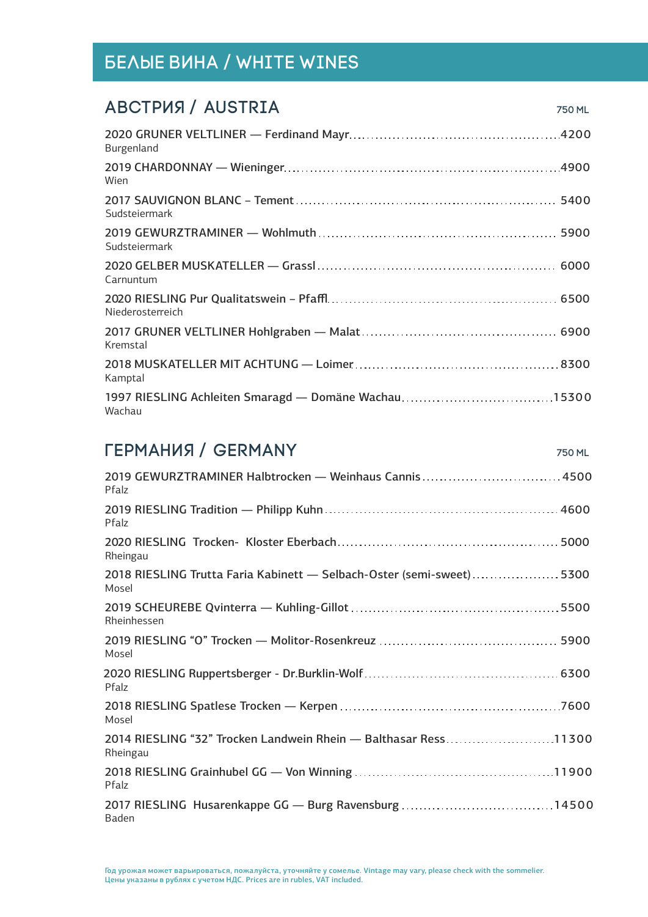#### АВСТРИЯ / AUSTRIA 750 ml

| Burgenland                                                     |
|----------------------------------------------------------------|
| Wien                                                           |
| Sudsteiermark                                                  |
| Sudsteiermark                                                  |
| Carnuntum                                                      |
| Niederosterreich                                               |
| Kremstal                                                       |
| Kamptal                                                        |
| 1997 RIESLING Achleiten Smaragd - Domäne Wachau15300<br>Wachau |

## ГЕРМАНИЯ / GERMANY 750 ML

| 2019 GEWURZTRAMINER Halbtrocken - Weinhaus Cannis 4500<br>Pfalz               |
|-------------------------------------------------------------------------------|
| Pfalz                                                                         |
| Rheingau                                                                      |
| 2018 RIESLING Trutta Faria Kabinett - Selbach-Oster (semi-sweet)5300<br>Mosel |
| Rheinhessen                                                                   |
| Mosel                                                                         |
| Pfalz                                                                         |
| Mosel                                                                         |
| 2014 RIESLING "32" Trocken Landwein Rhein - Balthasar Ress11300<br>Rheingau   |
| Pfalz                                                                         |
| Baden                                                                         |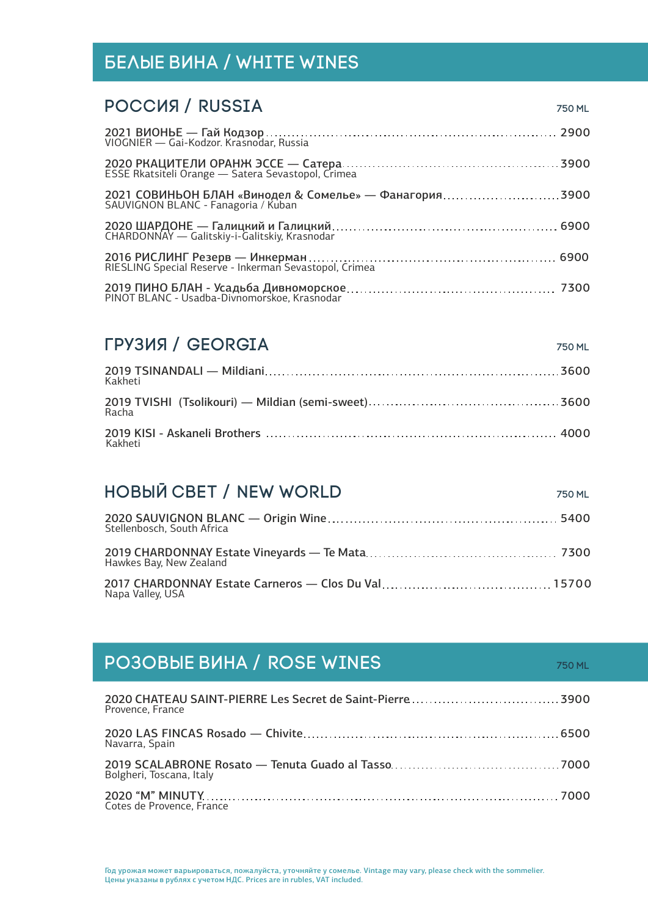#### РОССИЯ / RUSSIA 750 ml

| 2021 СОВИНЬОН БЛАН «Винодел & Сомелье» — Фанагория3900<br>SAUVIGNON BLANC - Fanagoria / Kuban |  |
|-----------------------------------------------------------------------------------------------|--|
|                                                                                               |  |
|                                                                                               |  |
|                                                                                               |  |

#### ГРУЗИЯ / GEORGIA 750 ml

| Kakheti |  |
|---------|--|
| Racha   |  |
| Kakheti |  |

# НОВЫЙ СВЕТ / NEW WORLD 750 ml 2020 SAUVIGNON BLANC — Origin Wine 5400

| Stellenbosch, South Africa |  |
|----------------------------|--|
| Hawkes Bay, New Zealand    |  |
| Napa Valley, USA           |  |

#### **РОЗОВЫЕ ВИНА / ROSE WINES** *TEOMINES* 2020 CHATEAU SAINT-PIERRE Les Secret de Saint-Pierre 3900 Provence, France 2020 LAS FINCAS Rosado — Chivite 6500 Navarra, Spain 2019 SCALABRONE Rosato — Tenuta Guado al Tasso 7000 Bolgheri, Toscana, Italy 2020 "М" MINUTY 7000 Cotes de Provence, France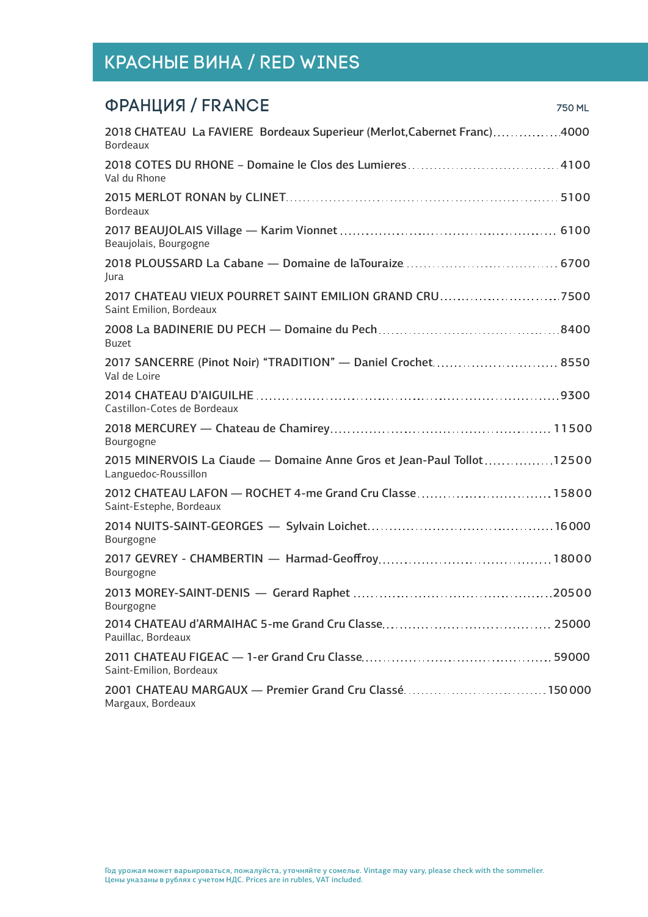| ФРАНЦИЯ / FRANCE<br>750 ML                                                                    |
|-----------------------------------------------------------------------------------------------|
| 2018 CHATEAU La FAVIERE Bordeaux Superieur (Merlot, Cabernet Franc)4000<br><b>Bordeaux</b>    |
| Val du Rhone                                                                                  |
| <b>Bordeaux</b>                                                                               |
| Beaujolais, Bourgogne                                                                         |
| Jura                                                                                          |
| Saint Emilion, Bordeaux                                                                       |
| <b>Buzet</b>                                                                                  |
| Val de Loire                                                                                  |
| Castillon-Cotes de Bordeaux                                                                   |
| Bourgogne                                                                                     |
| 2015 MINERVOIS La Ciaude — Domaine Anne Gros et Jean-Paul Tollot12500<br>Languedoc-Roussillon |
| Saint-Estephe, Bordeaux                                                                       |
| Bourgogne                                                                                     |
| Bourgogne                                                                                     |
| Bourgogne                                                                                     |
| Pauillac, Bordeaux                                                                            |
| Saint-Emilion, Bordeaux                                                                       |
| 2001 CHATEAU MARGAUX - Premier Grand Cru Classé150 000<br>Margaux, Bordeaux                   |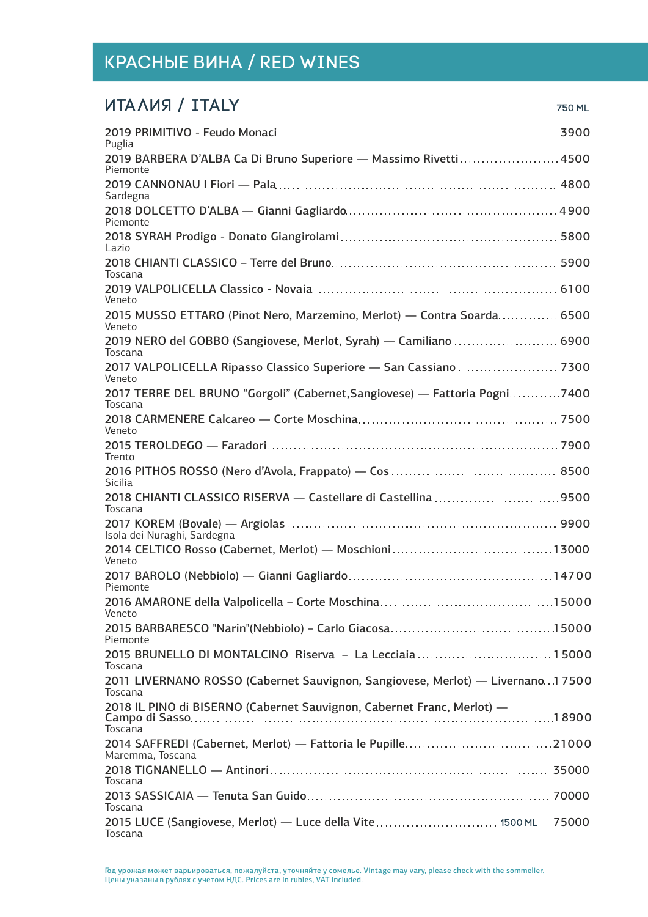#### ИТАЛИЯ / ITALY 750 ml

| Puglia                                                                                      |  |
|---------------------------------------------------------------------------------------------|--|
| 2019 BARBERA D'ALBA Ca Di Bruno Superiore - Massimo Rivetti4500<br>Piemonte                 |  |
| Sardegna                                                                                    |  |
| Piemonte                                                                                    |  |
| Lazio                                                                                       |  |
| Toscana                                                                                     |  |
| Veneto                                                                                      |  |
| 2015 MUSSO ETTARO (Pinot Nero, Marzemino, Merlot) — Contra Soarda 6500<br>Veneto            |  |
| 2019 NERO del GOBBO (Sangiovese, Merlot, Syrah) - Camiliano  6900<br>Toscana                |  |
| 2017 VALPOLICELLA Ripasso Classico Superiore - San Cassiano  7300<br>Veneto                 |  |
| 2017 TERRE DEL BRUNO "Gorgoli" (Cabernet, Sangiovese) — Fattoria Pogni7400<br>Toscana       |  |
| Veneto                                                                                      |  |
| Trento                                                                                      |  |
| <b>Sicilia</b>                                                                              |  |
| 2018 CHIANTI CLASSICO RISERVA - Castellare di Castellina 9500<br>Toscana                    |  |
| Isola dei Nuraghi, Sardegna                                                                 |  |
| Veneto                                                                                      |  |
| Piemonte                                                                                    |  |
| Veneto                                                                                      |  |
| Piemonte                                                                                    |  |
| 2015 BRUNELLO DI MONTALCINO Riserva - La Lecciaia 15000<br>Toscana                          |  |
| 2011 LIVERNANO ROSSO (Cabernet Sauvignon, Sangiovese, Merlot) — Livernano. 17500<br>Toscana |  |
| 2018 IL PINO di BISERNO (Cabernet Sauvignon, Cabernet Franc, Merlot) -<br>Toscana           |  |
| Maremma, Toscana                                                                            |  |
| Toscana                                                                                     |  |
| Toscana                                                                                     |  |
| 2015 LUCE (Sangiovese, Merlot) — Luce della Vite 1500 ML<br>75000<br>Toscana                |  |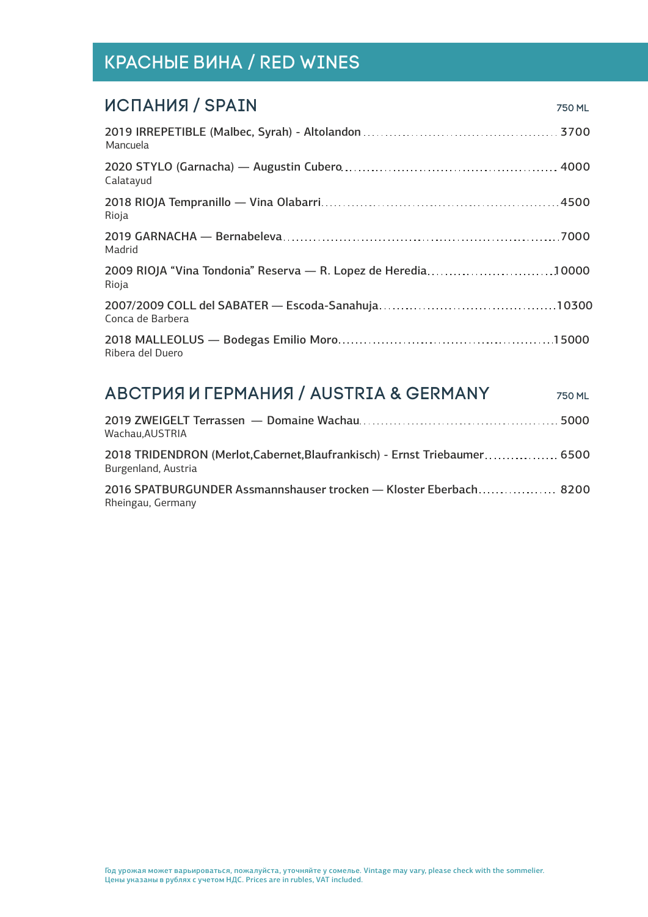| 750 ML                                                        |
|---------------------------------------------------------------|
|                                                               |
|                                                               |
|                                                               |
|                                                               |
| 2009 RIOJA "Vina Tondonia" Reserva - R. Lopez de Heredia10000 |
|                                                               |
|                                                               |
|                                                               |

| <b>АВСТРИЯ И ГЕРМАНИЯ / AUSTRIA &amp; GERMANY</b>                                                | 750 ML |
|--------------------------------------------------------------------------------------------------|--------|
| Wachau.AUSTRIA                                                                                   |        |
| 2018 TRIDENDRON (Merlot, Cabernet, Blaufrankisch) - Ernst Triebaumer 6500<br>Burgenland, Austria |        |
| 2016 SPATBURGUNDER Assmannshauser trocken - Kloster Eberbach 8200<br>Rheingau, Germany           |        |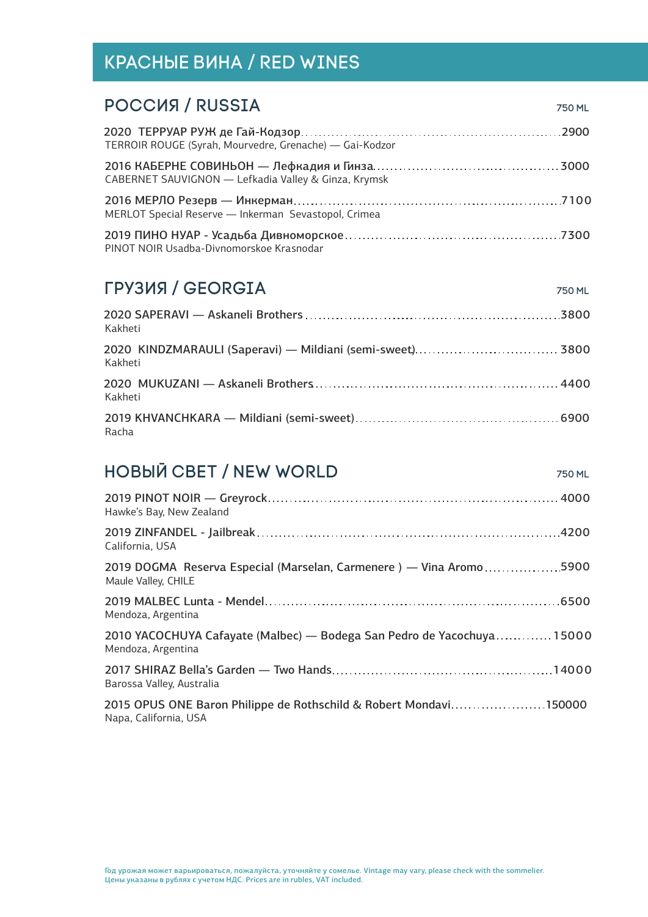| <b>POCCUS / RUSSIA</b>                                  | 750 ML |
|---------------------------------------------------------|--------|
| TERROIR ROUGE (Syrah, Mourvedre, Grenache) - Gai-Kodzor |        |
| CABERNET SAUVIGNON - Lefkadia Valley & Ginza, Krymsk    |        |
| MERLOT Special Reserve - Inkerman Sevastopol, Crimea    |        |
| PINOT NOIR Usadba-Divnomorskoe Krasnodar                |        |

#### ГРУЗИЯ / GEORGIA 750 ML

| Kakheti |  |
|---------|--|
| Kakheti |  |
| Kakheti |  |
| Racha   |  |

# **НОВЫЙ СВЕТ / NEW WORLD**

| Hawke's Bay, New Zealand                                                                     |
|----------------------------------------------------------------------------------------------|
| California, USA                                                                              |
| 2019 DOGMA Reserva Especial (Marselan, Carmenere) — Vina Aromo5900<br>Maule Valley, CHILE    |
| Mendoza, Argentina                                                                           |
| 2010 YACOCHUYA Cafayate (Malbec) — Bodega San Pedro de Yacochuya 15000<br>Mendoza, Argentina |
| Barossa Valley, Australia                                                                    |
| 2015 OPUS ONE Baron Philippe de Rothschild & Robert Mondavi150000<br>Napa, California, USA   |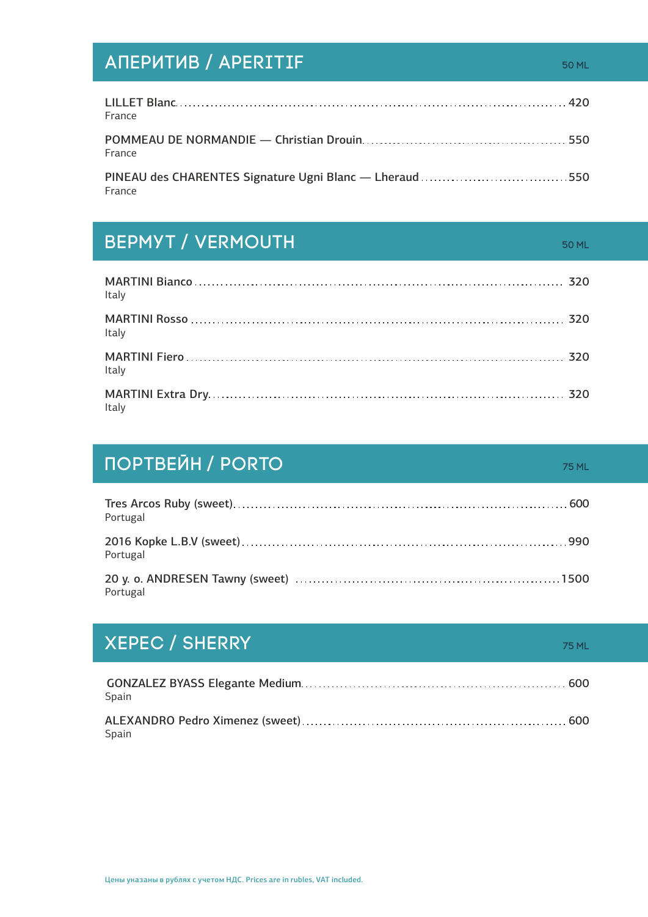# АПЕРИТИВ / APERITIF **1999** NORTH 50 ML

LILLET Blanc 420 France POMMEAU DE NORMANDIE — Christian Drouin 550 France PINEAU des CHARENTES Signature Ugni Blanc - Lheraud ................................... 550

**BEPMYT / VERMOUTH 50 ml material structure for the structure of the structure of the structure of the structure** 

France

| Italy |  |
|-------|--|
| Italy |  |
| Italy |  |
| Italy |  |

# ПОРТВЕЙН / PORTO 75 ML 2007 12:00 ML 2007 15 ML

| Portugal |
|----------|
| Portugal |
| Portugal |

# **XEPEC / SHERRY 75 ml**

GONZALEZ BYASS Elegante Medium 600 Spain ALEXANDRO Pedro Ximenez (sweet) 600 Spain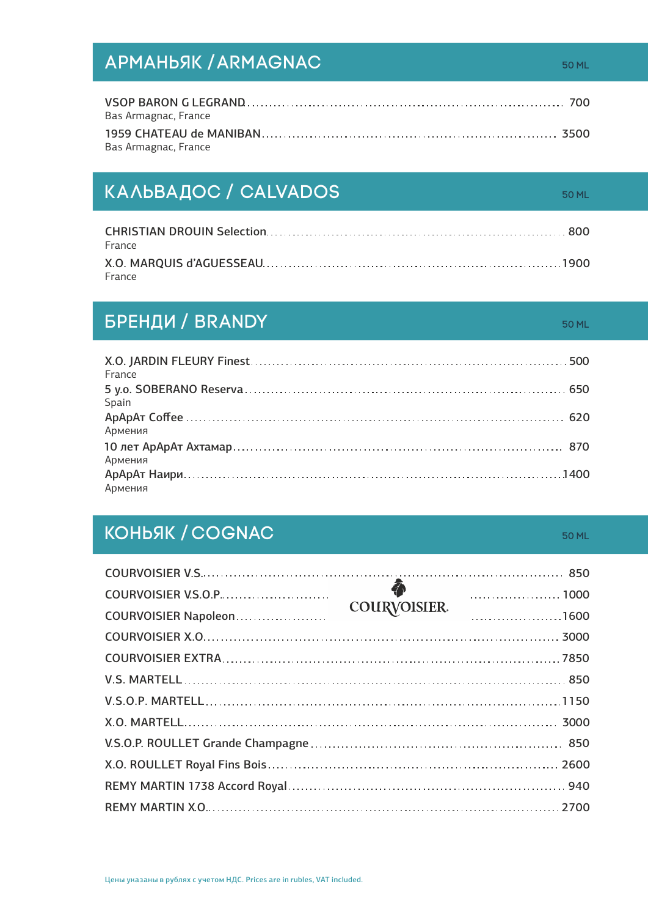# АРМАНЬЯК / ARMAGNAC 50 ML SOML 50 ML

| Bas Armagnac, France |  |
|----------------------|--|
|                      |  |
| Bas Armagnac, France |  |

# КАЛЬВАДОС / CALVADOS 50 ML

| France |  |
|--------|--|
| France |  |

# БРЕНДИ / BRANDY **50 ml million and the set of the set of the set of the set of the set of the set of the set of**

| France  |  |
|---------|--|
| Spain   |  |
| Армения |  |
| Армения |  |
| Армения |  |

# КОНЬЯК / COGNAC 50 ml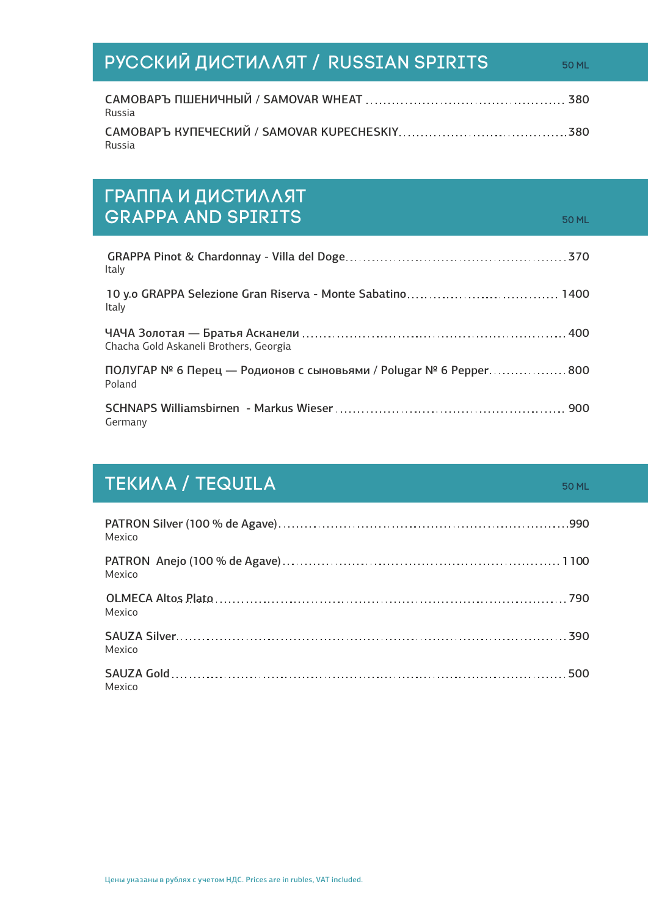# **РУССКИЙ ДИСТИЛЛЯТ / RUSSIAN SPIRITS** САМОВАРЪ ПШЕНИЧНЫЙ / SAMOVAR WHEAT 380

Russia САМОВАРЪ КУПЕЧЕСКИЙ / SAMOVAR KUPECHESKIY 380 Russia

# Граппа и ДистиллЯт GRAPPA AND SPIRITS **50 ml** 50 ml 50 ml 50 ml 50 ml 50 ml 50 ml 50 ml 50 ml 50 ml 50 ml 50 ml 50 ml 50 ml 50 ml 50 ml 50 ml 50 ml 50 ml 50 ml 50 ml 50 ml 50 ml 50 ml 50 ml 50 ml 50 ml 50 ml 50 ml 50 ml 50 ml 50 ml 50 ml 50

ЧАЧА Золотая — Братья Асканели 400 Chacha Gold Askaneli Brothers, Georgia ПОЛУГАР № 6 Перец — Родионов с сыновьями / Polugar  $N^{\circ}$  6 Pepper  $\ldots$ ................800 Poland SCHNAPS Williamsbirnen - Markus Wieser 900 Germany GRAPPA Pinot & Chardonnay - Villa del Doge 370 Italy 10 y.o GRAPPA Selezione Gran Riserva - Monte Sabatino 1400 Italy

# TEKUAA / TEQUILA 50 ml

| Mexico |  |
|--------|--|
| Mexico |  |
| Mexico |  |
| Mexico |  |
| Mexico |  |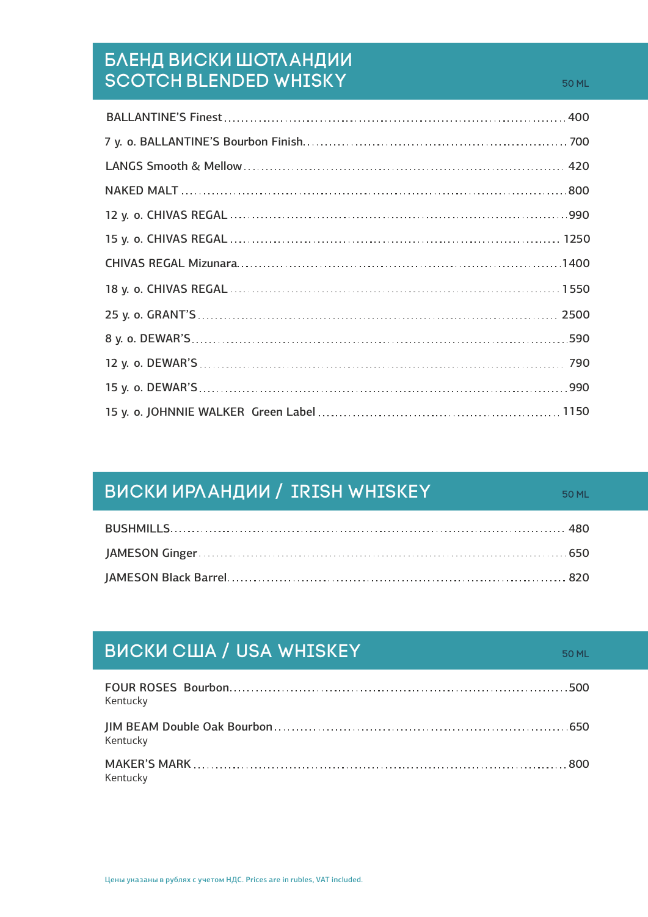### Бленд Виски Шотландии Scotch Blended Whisky 50 ml

| <b>ВИСКИ ИРЛАНДИИ / IRISH WHISKEY</b> | 50 MI |
|---------------------------------------|-------|
|                                       |       |
|                                       |       |
|                                       |       |

| <b>BUCKU CIUA / USA WHISKEY</b> | 50 ML |
|---------------------------------|-------|
| Kentucky                        |       |
| Kentucky                        |       |
| Kentucky                        |       |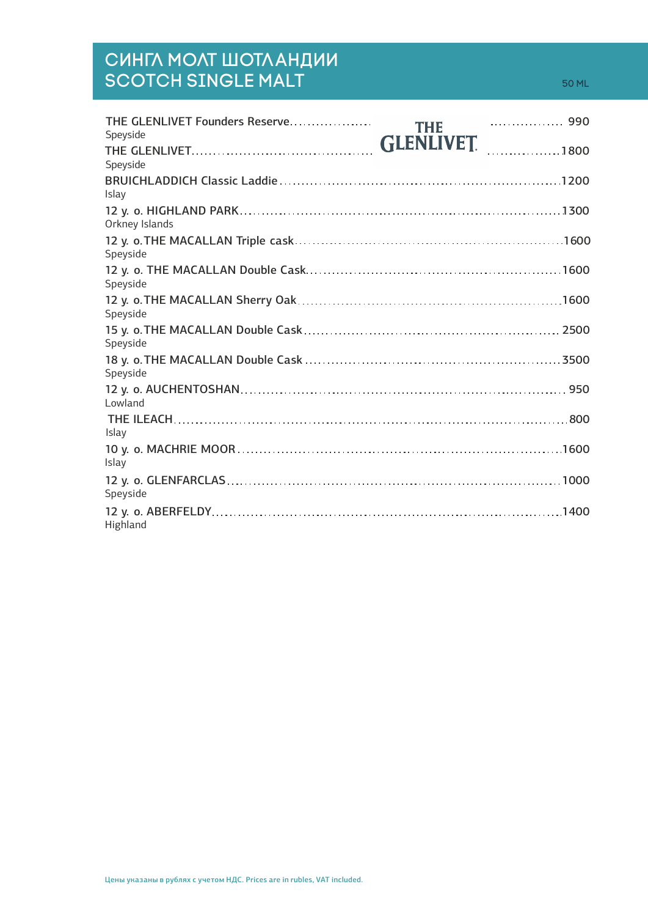## Сингл Молт Шотландии  $\mathsf{SCOTCH}\ \mathsf{SINGLE}\ \mathsf{MALT} \ \mathsf{SOD}\ \mathsf{S0}\ \mathsf{MLD} \ \mathsf{S0}\ \mathsf{MLD} \ \mathsf{S0}\ \mathsf{MLD} \ \mathsf{S0}\ \mathsf{MLD} \ \mathsf{S0}\ \mathsf{MLD} \ \mathsf{S0}\ \mathsf{MLD} \ \mathsf{S0}\ \mathsf{MLD} \ \mathsf{S0}\ \mathsf{MND} \ \mathsf{S0}\ \mathsf{MND} \ \mathsf{S1}\ \mathsf{N0}\ \mathsf{S1}\ \mathsf{N0}\ \mathsf{S2}\ \mathsf{S2}\ \mathsf{S3}\ \mathsf{M$

| THE GLENLIVET Founders Reserve | <b>THE</b> |      |
|--------------------------------|------------|------|
| Speyside                       |            |      |
| Speyside                       | GLENLIVET. |      |
| Islay                          |            |      |
| Orkney Islands                 |            |      |
| Speyside                       |            |      |
| Speyside                       |            |      |
| Speyside                       |            |      |
| Speyside                       |            |      |
| Speyside                       |            |      |
| Lowland                        |            |      |
| Islay                          |            |      |
| Islay                          |            |      |
| Speyside                       |            |      |
| Highland                       |            | 1400 |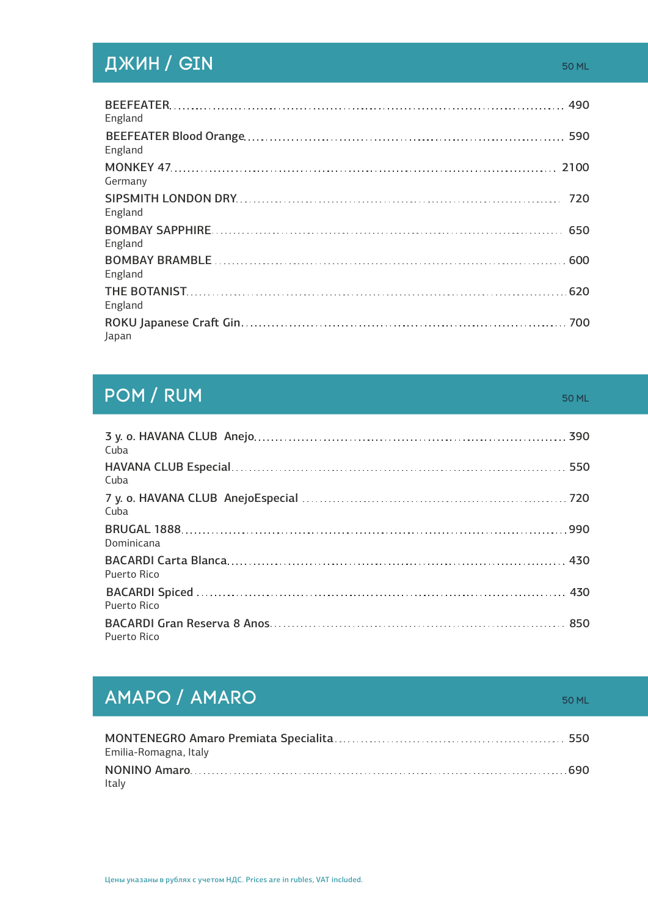# **ДЖИН / GIN 50 ml 50 ml 50 ml 50 ml 50 ml 50 ml 50 ml 50 ml 50 ml 50 ml 50 ml 50 ml 50 ml 50 ml 50 ml**

| England |  |
|---------|--|
| England |  |
| Germany |  |
| England |  |
| England |  |
| England |  |
| England |  |
| Japan   |  |

### **POM / RUM 60 ml 50 ml 50 ml 50 ml 50 ml 50 ml 50 ml 50 ml 50 ml 50 ml 50 ml 50 ml 50 ml 50 ml 50 ml 50 ml 50 ml**

3 y. o. HAVANA CLUB Anejo 390 Cuba BRUGAL 1888 990 Dominicana BACARDI Carta Blanca 430 Puerto Rico BACARDI Spiced 430 Puerto Rico HAVANA CLUB Especial 550 Cuba 720 7 y. o. HAVANA CLUB AnejoEspecial Cuba BACARDI Gran Reserva 8 Anos 850 Puerto Rico

# **AMAPO / AMARO 60 ml = 10 ml = 10 ml = 10 ml = 10 ml = 10 ml = 10 ml = 10 ml = 10 ml = 10 ml = 10 ml = 10 ml = 1**

| Emilia-Romagna, Italy |  |
|-----------------------|--|
|                       |  |
| Italy                 |  |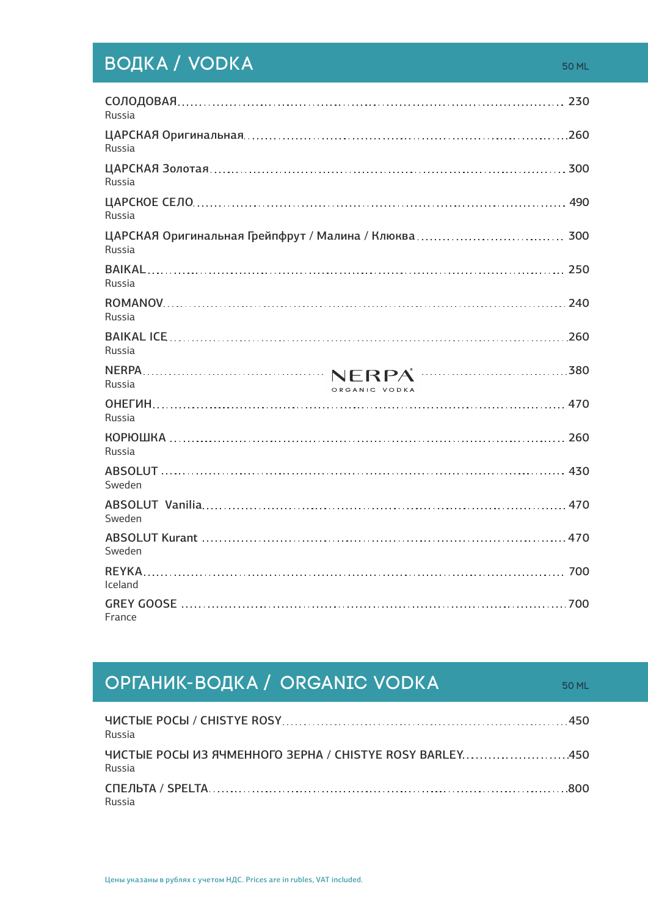# ВОДКА / VODKA 50 ml

| Russia                  |  |
|-------------------------|--|
| Russia                  |  |
| Russia                  |  |
| Russia                  |  |
| <b>Russia</b>           |  |
| Russia                  |  |
| <b>Russia</b>           |  |
| Russia                  |  |
| Russia<br>ORGANIC VODKA |  |
| Russia                  |  |
| Russia                  |  |
| Sweden                  |  |
| Sweden                  |  |
| Sweden                  |  |
| Iceland                 |  |
| France                  |  |

# **ОРГАНИК-ВОДКА / ORGANIC VODKA** 50 ML

| Russia |  |
|--------|--|
| Russia |  |
| Russia |  |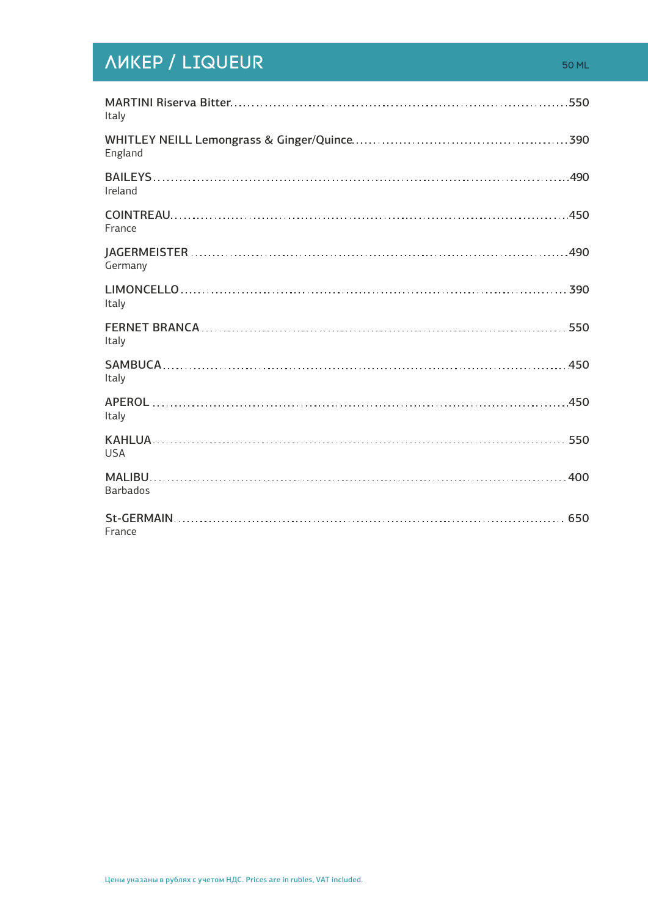# **ЛИКЕР / LIQUEUR** 50 ml

| Italy           |
|-----------------|
| England         |
| Ireland         |
| France          |
| Germany         |
| Italy           |
| Italy           |
| Italy           |
| Italy           |
| <b>USA</b>      |
| <b>Barbados</b> |
| France          |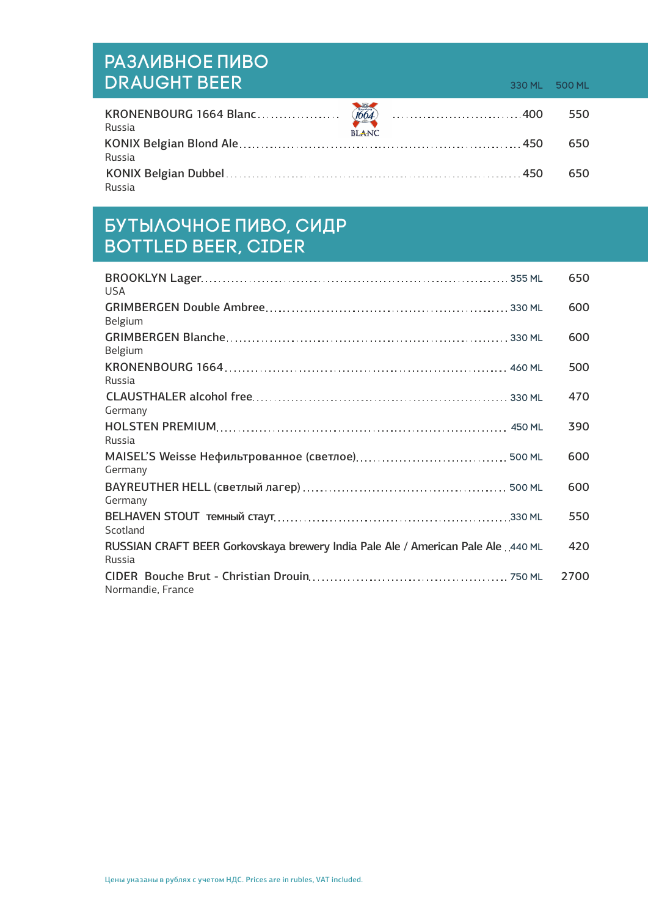# Разливное Пиво DRAUGHT BEER 330 ML 500 ML

| Russia | <b>BLANC</b> | 550 |
|--------|--------------|-----|
|        |              | 650 |
| Russia |              |     |
|        |              | 650 |
| Russia |              |     |

## Бутылочное пиво, сидр Bottled beer, Cider

| <b>USA</b>                                                                                   | 650  |
|----------------------------------------------------------------------------------------------|------|
| Belgium                                                                                      | 600  |
| <b>Belgium</b>                                                                               | 600  |
| Russia                                                                                       | 500  |
| Germany                                                                                      | 470  |
| Russia                                                                                       | 390  |
| Germany                                                                                      | 600  |
| Germany                                                                                      | 600  |
| Scotland                                                                                     | 550  |
| RUSSIAN CRAFT BEER Gorkovskaya brewery India Pale Ale / American Pale Ale . 440 ML<br>Russia | 420  |
| Normandie, France                                                                            | 2700 |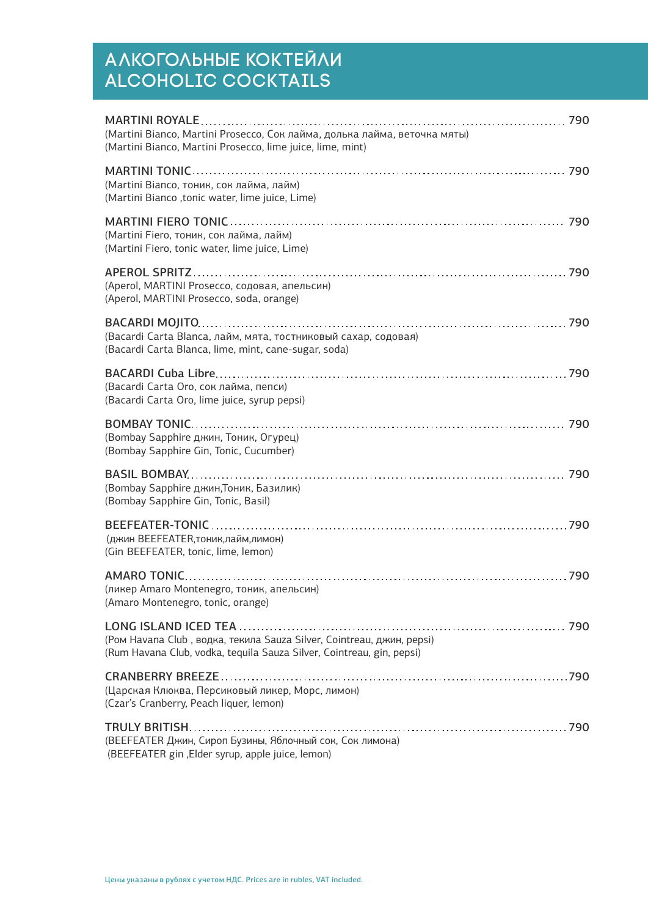# АЛКОГОЛЬНЫЕ КОКТЕИЛИ Alcoholic Cocktails

| (Martini Bianco, Martini Prosecco, Сок лайма, долька лайма, веточка мяты)<br>(Martini Bianco, Martini Prosecco, lime juice, lime, mint)        |  |
|------------------------------------------------------------------------------------------------------------------------------------------------|--|
| (Martini Bianco, тоник, сок лайма, лайм)<br>(Martini Bianco, tonic water, lime juice, Lime)                                                    |  |
| (Martini Fiero, тоник, сок лайма, лайм)<br>(Martini Fiero, tonic water, lime juice, Lime)                                                      |  |
| (Aperol, MARTINI Prosecco, содовая, апельсин)<br>(Aperol, MARTINI Prosecco, soda, orange)                                                      |  |
| (Bacardi Carta Blanca, лайм, мята, тостниковый сахар, содовая)<br>(Bacardi Carta Blanca, lime, mint, cane-sugar, soda)                         |  |
| (Bacardi Carta Oro, сок лайма, пепси)<br>(Bacardi Carta Oro, lime juice, syrup pepsi)                                                          |  |
| (Bombay Sapphire джин, Тоник, Огурец)<br>(Bombay Sapphire Gin, Tonic, Cucumber)                                                                |  |
| (Bombay Sapphire джин, Тоник, Базилик)<br>(Bombay Sapphire Gin, Tonic, Basil)                                                                  |  |
| (джин BEEFEATER, тоник, лайм, лимон)<br>(Gin BEEFEATER, tonic, lime, lemon)                                                                    |  |
| (ликер Amaro Montenegro, тоник, апельсин)<br>(Amaro Montenegro, tonic, orange)                                                                 |  |
| (Ром Havana Club, водка, текила Sauza Silver, Cointreau, джин, pepsi)<br>(Rum Havana Club, vodka, tequila Sauza Silver, Cointreau, gin, pepsi) |  |
| (Царская Клюква, Персиковый ликер, Морс, лимон)<br>(Czar's Cranberry, Peach liquer, lemon)                                                     |  |
| (BEEFEATER Джин, Сироп Бузины, Яблочный сок, Сок лимона)<br>(BEEFEATER gin , Elder syrup, apple juice, lemon)                                  |  |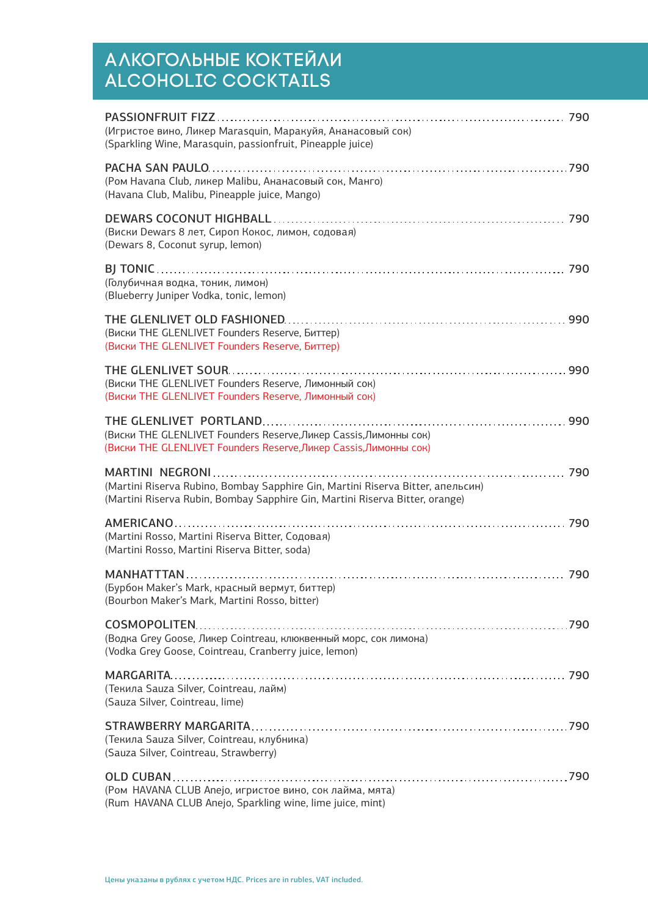# АЛКОГОЛЬНЫЕ КОКТЕИЛИ Alcoholic Cocktails

| (Игристое вино, Ликер Marasquin, Маракуйя, Ананасовый сок)<br>(Sparkling Wine, Marasquin, passionfruit, Pineapple juice)                                        |
|-----------------------------------------------------------------------------------------------------------------------------------------------------------------|
| (Ром Havana Club, ликер Malibu, Ананасовый сок, Манго)<br>(Havana Club, Malibu, Pineapple juice, Mango)                                                         |
| (Виски Dewars 8 лет, Сироп Кокос, лимон, содовая)<br>(Dewars 8, Coconut syrup, lemon)                                                                           |
| (Голубичная водка, тоник, лимон)<br>(Blueberry Juniper Vodka, tonic, lemon)                                                                                     |
| (Виски THE GLENLIVET Founders Reserve, Биттер)<br>(Виски THE GLENLIVET Founders Reserve, Биттер)                                                                |
| (Виски THE GLENLIVET Founders Reserve, Лимонный сок)<br>(Виски THE GLENLIVET Founders Reserve, Лимонный сок)                                                    |
| (Виски THE GLENLIVET Founders Reserve, Ликер Cassis, Лимонны сок)<br>(Виски THE GLENLIVET Founders Reserve, Ликер Cassis, Лимонны сок)                          |
|                                                                                                                                                                 |
| (Martini Riserva Rubino, Bombay Sapphire Gin, Martini Riserva Bitter, апельсин)<br>(Martini Riserva Rubin, Bombay Sapphire Gin, Martini Riserva Bitter, orange) |
| (Martini Rosso, Martini Riserva Bitter, Содовая)<br>(Martini Rosso, Martini Riserva Bitter, soda)                                                               |
| (Бурбон Maker's Mark, красный вермут, биттер)<br>(Bourbon Maker's Mark, Martini Rosso, bitter)                                                                  |
| (Водка Grey Goose, Ликер Cointreau, клюквенный морс, сок лимона)<br>(Vodka Grey Goose, Cointreau, Cranberry juice, lemon)                                       |
| (Текила Sauza Silver, Cointreau, лайм)<br>(Sauza Silver, Cointreau, lime)                                                                                       |
| (Текила Sauza Silver, Cointreau, клубника)<br>(Sauza Silver, Cointreau, Strawberry)                                                                             |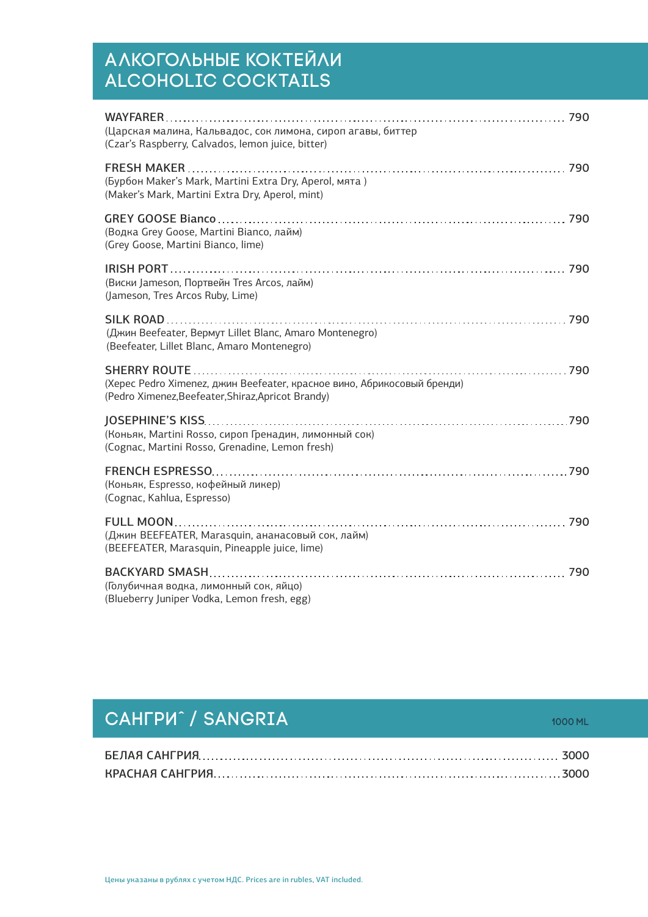# АЛКОГОЛЬНЫЕ КОКТЕИЛИ Alcoholic Cocktails

| (Царская малина, Кальвадос, сок лимона, сироп агавы, биттер<br>(Czar's Raspberry, Calvados, lemon juice, bitter)              |  |
|-------------------------------------------------------------------------------------------------------------------------------|--|
| (Бурбон Maker's Mark, Martini Extra Dry, Aperol, мята)<br>(Maker's Mark, Martini Extra Dry, Aperol, mint)                     |  |
| (Водка Grey Goose, Martini Bianco, лайм)<br>(Grey Goose, Martini Bianco, lime)                                                |  |
| (Виски Jameson, Портвейн Tres Arcos, лайм)<br>(Jameson, Tres Arcos Ruby, Lime)                                                |  |
| (Джин Beefeater, Вермут Lillet Blanc, Amaro Montenegro)<br>(Beefeater, Lillet Blanc, Amaro Montenegro)                        |  |
| (Херес Pedro Ximenez, джин Beefeater, красное вино, Абрикосовый бренди)<br>(Pedro Ximenez, Beefeater, Shiraz, Apricot Brandy) |  |
| (Коньяк, Martini Rosso, сироп Гренадин, лимонный сок)<br>(Cognac, Martini Rosso, Grenadine, Lemon fresh)                      |  |
| (Коньяк, Espresso, кофейный ликер)<br>(Cognac, Kahlua, Espresso)                                                              |  |
| (Джин BEEFEATER, Marasquin, ананасовый сок, лайм)<br>(BEEFEATER, Marasquin, Pineapple juice, lime)                            |  |
| 790<br>(Голубичная водка, лимонный сок, яйцо)<br>(Blueberry Juniper Vodka, Lemon fresh, egg)                                  |  |

# **САНГРИ̂ / SANGRIA** 2000 ml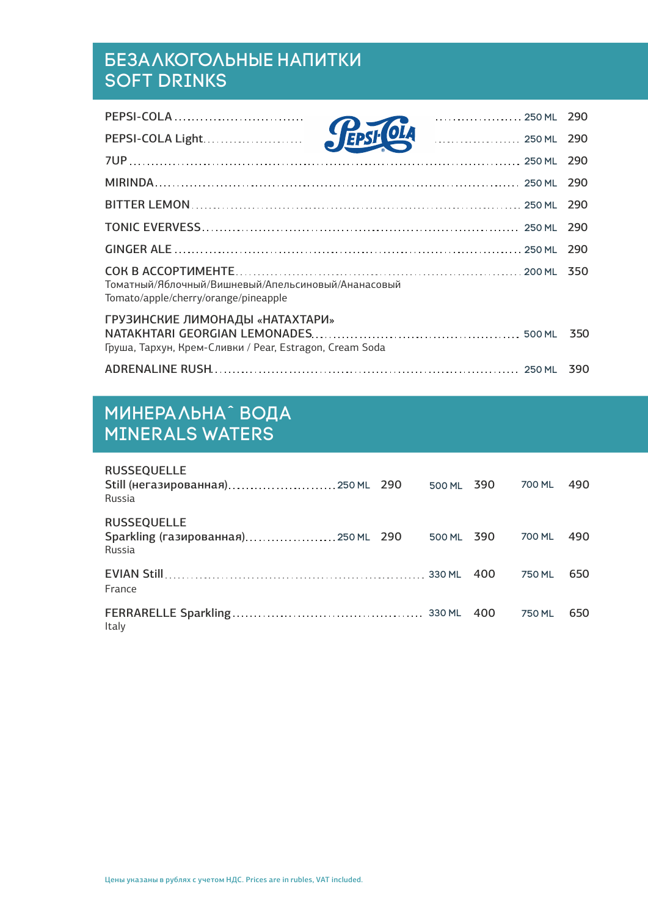# Безалкогольные Напитки Soft Drinks

| PEPSI-COLA Light. 290                                                                      |  |
|--------------------------------------------------------------------------------------------|--|
|                                                                                            |  |
|                                                                                            |  |
|                                                                                            |  |
|                                                                                            |  |
|                                                                                            |  |
| Томатный/Яблочный/Вишневый/Апельсиновый/Ананасовый<br>Tomato/apple/cherry/orange/pineapple |  |
| ГРУЗИНСКИЕ ЛИМОНАДЫ «НАТАХТАРИ»<br>Груша, Тархун, Крем-Сливки / Pear, Estragon, Cream Soda |  |
|                                                                                            |  |

# Минеральнаˆ Вода Minerals Waters

| <b>RUSSEQUELLE</b><br>Still (негазированная) 250 ML 290<br>Russia   | 500 ML | 390 | 700 ML | 490 |
|---------------------------------------------------------------------|--------|-----|--------|-----|
| <b>RUSSEQUELLE</b><br>Sparkling (газированная) 250 ML 290<br>Russia | 500 ML | 390 | 700 ML | 490 |
| France                                                              |        | 400 | 750 ML | 650 |
| Italy                                                               |        | 400 | 750 ML | 650 |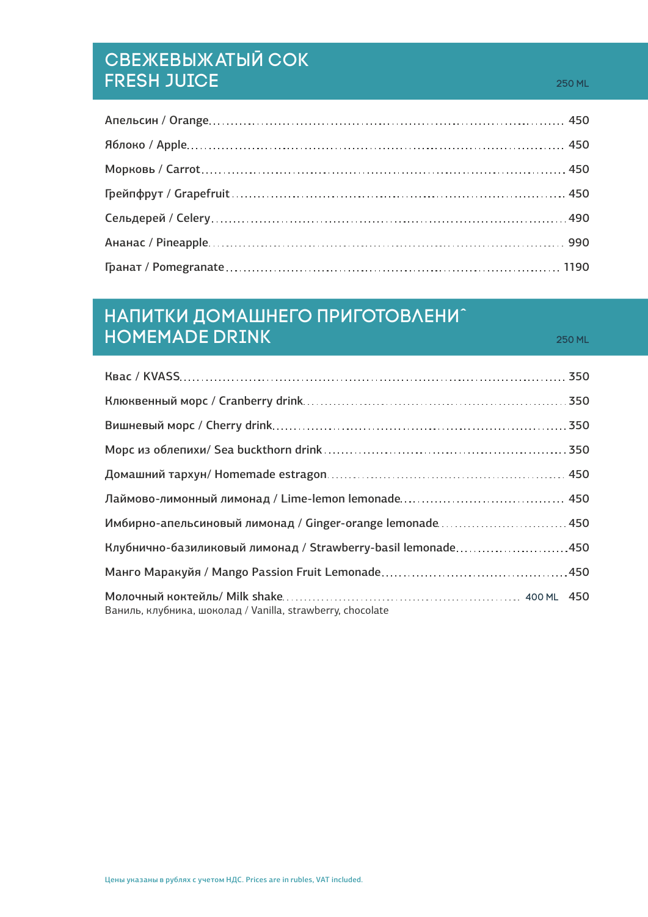# Свежевыжатый Сок FRESH JUICE 250 ml

# Напитки Домашнего Приготовлениˆ Homemade Drink 250 ml

| Имбирно-апельсиновый лимонад / Ginger-orange lemonade 450    |
|--------------------------------------------------------------|
| Клубнично-базиликовый лимонад / Strawberry-basil lemonade450 |
|                                                              |
| Ваниль, клубника, шоколад / Vanilla, strawberry, chocolate   |